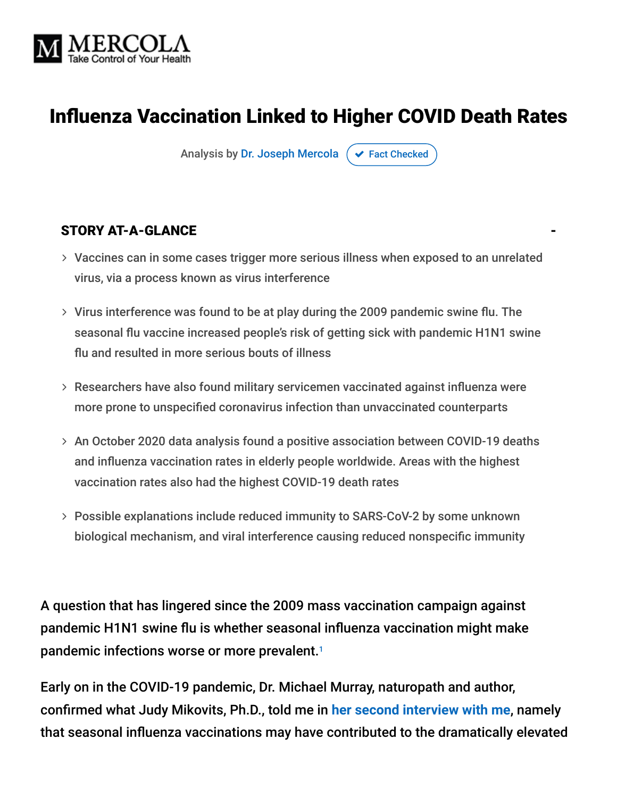

### **Influenza Vaccination Linked to Higher COVID Death Rates**

Analysis by [Dr. Joseph Mercola](https://www.mercola.com/forms/background.htm)  $\sigma$  [Fact Checked](javascript:void(0))

#### STORY AT-A-GLANCE

- Vaccines can in some cases trigger more serious illness when exposed to an unrelated virus, via a process known as virus interference
- $>$  Virus interference was found to be at play during the 2009 pandemic swine flu. The seasonal flu vaccine increased people's risk of getting sick with pandemic H1N1 swine flu and resulted in more serious bouts of illness
- $>$  Researchers have also found military servicemen vaccinated against influenza were more prone to unspecified coronavirus infection than unvaccinated counterparts
- An October 2020 data analysis found a positive association between COVID-19 deaths and influenza vaccination rates in elderly people worldwide. Areas with the highest vaccination rates also had the highest COVID-19 death rates
- Possible explanations include reduced immunity to SARS-CoV-2 by some unknown biological mechanism, and viral interference causing reduced nonspecific immunity

A question that has lingered since the 2009 mass vaccination campaign against pandemic H1N1 swine flu is whether seasonal influenza vaccination might make pandemic infections worse or more prevalent. 1

Early on in the COVID-19 pandemic, Dr. Michael Murray, naturopath and author, confirmed what Judy Mikovits, Ph.D., told me in [her second interview with me](https://articles.mercola.com/sites/articles/archive/2020/05/24/is-the-new-coronavirus-created-in-a-lab.aspx), namely that seasonal influenza vaccinations may have contributed to the dramatically elevated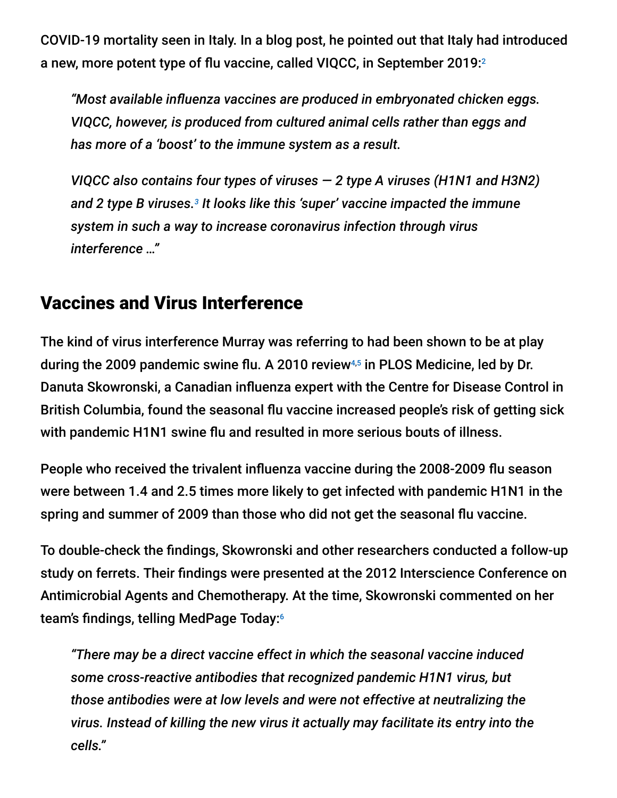COVID-19 mortality seen in Italy. In a blog post, he pointed out that Italy had introduced a new, more potent type of flu vaccine, called VIQCC, in September 2019: $^2$ 

"Most available influenza vaccines are produced in embryonated chicken eggs. *VIQCC, however, is produced from cultured animal cells rather than eggs and has more of a 'boost' to the immune system as a result.*

*VIQCC also contains four types of viruses — 2 type A viruses (H1N1 and H3N2)* and 2 type B viruses.<sup>3</sup> It looks like this 'super' vaccine impacted the immune *system in such a way to increase coronavirus infection through virus interference …"*

### Vaccines and Virus Interference

The kind of virus interference Murray was referring to had been shown to be at play during the 2009 pandemic swine flu. A 2010 review<sup>4,5</sup> in PLOS Medicine, led by Dr. Danuta Skowronski, a Canadian influenza expert with the Centre for Disease Control in British Columbia, found the seasonal flu vaccine increased people's risk of getting sick with pandemic H1N1 swine flu and resulted in more serious bouts of illness.

People who received the trivalent influenza vaccine during the 2008-2009 flu season were between 1.4 and 2.5 times more likely to get infected with pandemic H1N1 in the spring and summer of 2009 than those who did not get the seasonal flu vaccine.

To double-check the findings, Skowronski and other researchers conducted a follow-up study on ferrets. Their findings were presented at the 2012 Interscience Conference on Antimicrobial Agents and Chemotherapy. At the time, Skowronski commented on her team's findings, telling MedPage Today:6

*"There may be a direct vaccine effect in which the seasonal vaccine induced some cross-reactive antibodies that recognized pandemic H1N1 virus, but those antibodies were at low levels and were not effective at neutralizing the virus. Instead of killing the new virus it actually may facilitate its entry into the cells."*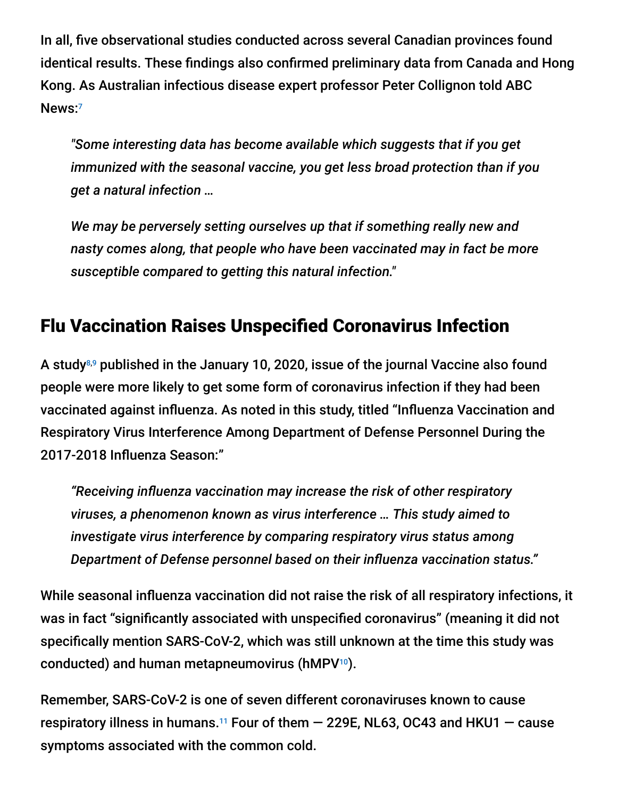In all, five observational studies conducted across several Canadian provinces found identical results. These findings also confirmed preliminary data from Canada and Hong Kong. As Australian infectious disease expert professor Peter Collignon told ABC News: 7

*"Some interesting data has become available which suggests that if you get immunized with the seasonal vaccine, you get less broad protection than if you get a natural infection …*

*We may be perversely setting ourselves up that if something really new and nasty comes along, that people who have been vaccinated may in fact be more susceptible compared to getting this natural infection."*

### **Flu Vaccination Raises Unspecified Coronavirus Infection**

A study $^{8,9}$  published in the January 10, 2020, issue of the journal Vaccine also found people were more likely to get some form of coronavirus infection if they had been vaccinated against influenza. As noted in this study, titled "Influenza Vaccination and Respiratory Virus Interference Among Department of Defense Personnel During the 2017-2018 Influenza Season:"

"Receiving influenza vaccination may increase the risk of other respiratory *viruses, a phenomenon known as virus interference … This study aimed to investigate virus interference by comparing respiratory virus status among* **Department of Defense personnel based on their influenza vaccination status."** 

While seasonal influenza vaccination did not raise the risk of all respiratory infections, it was in fact "significantly associated with unspecified coronavirus" (meaning it did not specifically mention SARS-CoV-2, which was still unknown at the time this study was conducted) and human metapneumovirus (hMPV<sup>10</sup>).

Remember, SARS-CoV-2 is one of seven different coronaviruses known to cause respiratory illness in humans.<sup>11</sup> Four of them  $-$  229E, NL63, OC43 and HKU1  $-$  cause symptoms associated with the common cold.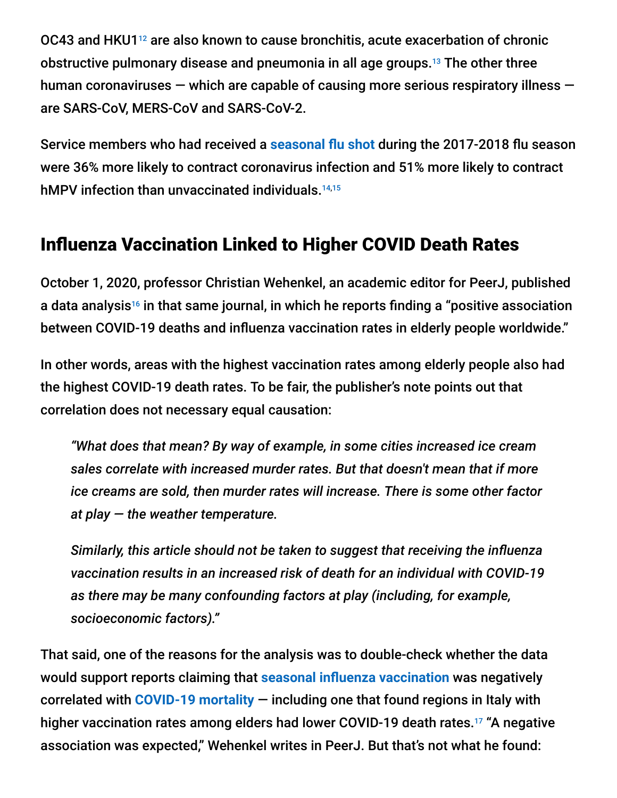OC43 and HKU1<sup>12</sup> are also known to cause bronchitis, acute exacerbation of chronic obstructive pulmonary disease and pneumonia in all age groups.<sup>13</sup> The other three human coronaviruses — which are capable of causing more serious respiratory illness are SARS-CoV, MERS-CoV and SARS-CoV-2.

Service members who had received a **seasonal flu shot during the 2017-2018 flu season** were 36% more likely to contract coronavirus infection and 51% more likely to contract hMPV infection than unvaccinated individuals.<sup>14,15</sup>

### **Influenza Vaccination Linked to Higher COVID Death Rates**

October 1, 2020, professor Christian Wehenkel, an academic editor for PeerJ, published a data analysis16 in that same journal, in which he reports finding a "positive association between COVID-19 deaths and influenza vaccination rates in elderly people worldwide."

In other words, areas with the highest vaccination rates among elderly people also had the highest COVID-19 death rates. To be fair, the publisher's note points out that correlation does not necessary equal causation:

*"What does that mean? By way of example, in some cities increased ice cream sales correlate with increased murder rates. But that doesn't mean that if more ice creams are sold, then murder rates will increase. There is some other factor at play — the weather temperature.*

*Similarly, this article should not be taken to suggest that receiving the influenza vaccination results in an increased risk of death for an individual with COVID-19 as there may be many confounding factors at play (including, for example, socioeconomic factors)."*

That said, one of the reasons for the analysis was to double-check whether the data would support reports claiming that **seasonal influenza vaccination** was negatively correlated with **[COVID-19 mortality](https://articles.mercola.com/sites/articles/archive/2021/01/07/high-dose-vitamin-c-for-coronavirus.aspx)** — including one that found regions in Italy with higher vaccination rates among elders had lower COVID-19 death rates.<sup>17</sup> "A negative association was expected," Wehenkel writes in PeerJ. But that's not what he found: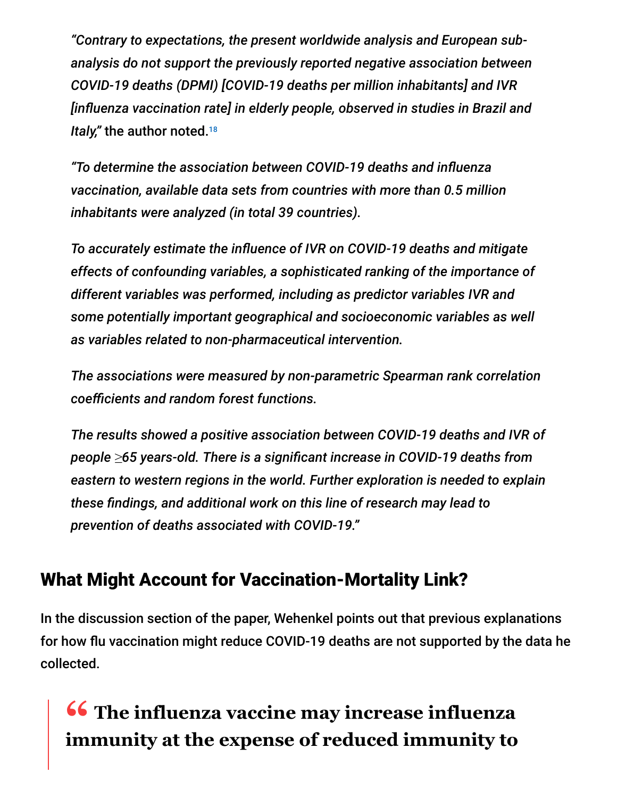*"Contrary to expectations, the present worldwide analysis and European subanalysis do not support the previously reported negative association between COVID-19 deaths (DPMI) [COVID-19 deaths per million inhabitants] and IVR [inuenza vaccination rate] in elderly people, observed in studies in Brazil and Italy,"* the author noted. 18

*"To determine the association between COVID-19 deaths and inuenza vaccination, available data sets from countries with more than 0.5 million inhabitants were analyzed (in total 39 countries).*

To accurately estimate the influence of IVR on COVID-19 deaths and mitigate *effects of confounding variables, a sophisticated ranking of the importance of different variables was performed, including as predictor variables IVR and some potentially important geographical and socioeconomic variables as well as variables related to non-pharmaceutical intervention.*

*The associations were measured by non-parametric Spearman rank correlation*  $coefficients$  and random forest functions.

*The results showed a positive association between COVID-19 deaths and IVR of people ≥65 years-old. There is a signicant increase in COVID-19 deaths from eastern to western regions in the world. Further exploration is needed to explain* these findings, and additional work on this line of research may lead to *prevention of deaths associated with COVID-19."*

### What Might Account for Vaccination-Mortality Link?

In the discussion section of the paper, Wehenkel points out that previous explanations for how flu vaccination might reduce COVID-19 deaths are not supported by the data he collected.

# **<sup>66</sup>** The influenza vaccine may increase influenza<br>
immunity at the expense of reduced immunity to **immunity at the expense of reduced immunity to**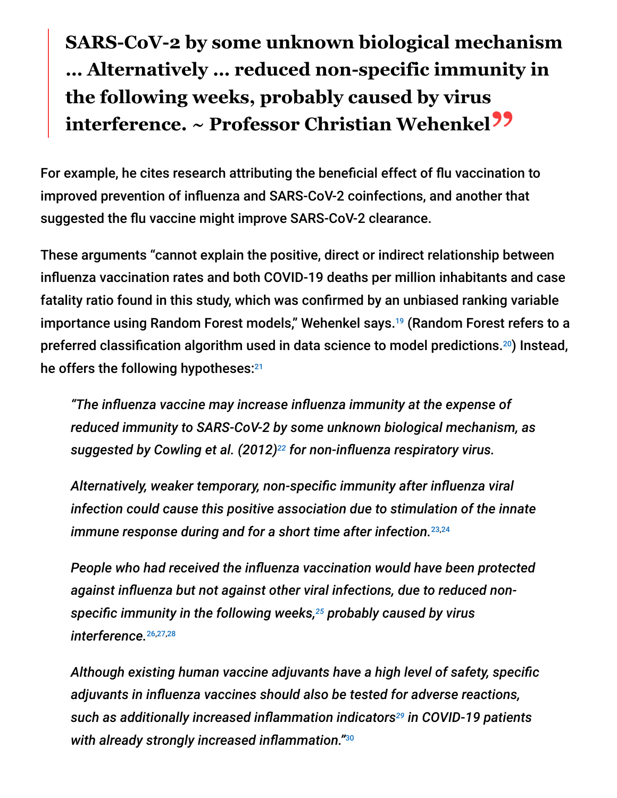## **SARS-CoV-2 by some unknown biological mechanism … Alternatively … reduced non-specific immunity in the following weeks, probably caused by virus interference. ~ Professor Christian Wehenkel"**

For example, he cites research attributing the beneficial effect of flu vaccination to improved prevention of influenza and SARS-CoV-2 coinfections, and another that suggested the flu vaccine might improve SARS-CoV-2 clearance.

These arguments "cannot explain the positive, direct or indirect relationship between influenza vaccination rates and both COVID-19 deaths per million inhabitants and case fatality ratio found in this study, which was confirmed by an unbiased ranking variable importance using Random Forest models," Wehenkel says.<sup>19</sup> (Random Forest refers to a preferred classification algorithm used in data science to model predictions. $^{20}$ ) Instead, he offers the following hypotheses: 21

*"The influenza vaccine may increase influenza immunity at the expense of reduced immunity to SARS-CoV-2 by some unknown biological mechanism, as* suggested by Cowling et al. (2012)<sup>22</sup> for non-influenza respiratory virus.

Alternatively, weaker temporary, non-specific immunity after influenza viral *infection could cause this positive association due to stimulation of the innate immune response during and for a short time after infection.* 23,24

*People who had received the influenza vaccination would have been protected* against influenza but not against other viral infections, due to reduced nonspecific immunity in the following weeks,<sup>25</sup> probably caused by virus *interference.* 26,27,28

Although existing human vaccine adjuvants have a high level of safety, specific *adjuvants in inuenza vaccines should also be tested for adverse reactions,* such as additionally increased inflammation indicators<sup>29</sup> in COVID-19 patients with already strongly increased inflammation." $^{\rm 30}$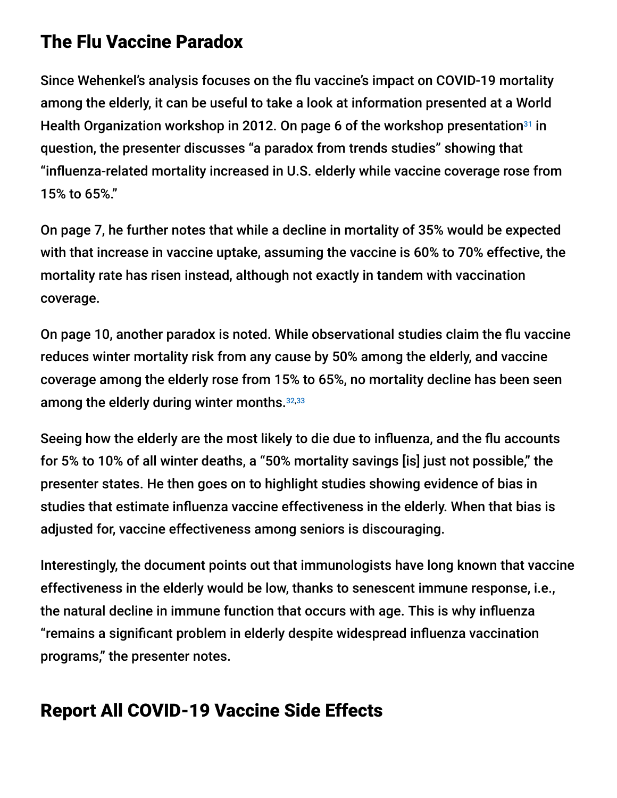### The Flu Vaccine Paradox

Since Wehenkel's analysis focuses on the flu vaccine's impact on COVID-19 mortality among the elderly, it can be useful to take a look at information presented at a World Health Organization workshop in 2012. On page 6 of the workshop presentation<sup>31</sup> in question, the presenter discusses "a paradox from trends studies" showing that "influenza-related mortality increased in U.S. elderly while vaccine coverage rose from 15% to 65%."

On page 7, he further notes that while a decline in mortality of 35% would be expected with that increase in vaccine uptake, assuming the vaccine is 60% to 70% effective, the mortality rate has risen instead, although not exactly in tandem with vaccination coverage.

On page 10, another paradox is noted. While observational studies claim the flu vaccine reduces winter mortality risk from any cause by 50% among the elderly, and vaccine coverage among the elderly rose from 15% to 65%, no mortality decline has been seen among the elderly during winter months. 32,33

Seeing how the elderly are the most likely to die due to influenza, and the flu accounts for 5% to 10% of all winter deaths, a "50% mortality savings [is] just not possible," the presenter states. He then goes on to highlight studies showing evidence of bias in studies that estimate influenza vaccine effectiveness in the elderly. When that bias is adjusted for, vaccine effectiveness among seniors is discouraging.

Interestingly, the document points out that immunologists have long known that vaccine effectiveness in the elderly would be low, thanks to senescent immune response, i.e., the natural decline in immune function that occurs with age. This is why influenza "remains a significant problem in elderly despite widespread influenza vaccination programs," the presenter notes.

### Report All COVID-19 Vaccine Side Effects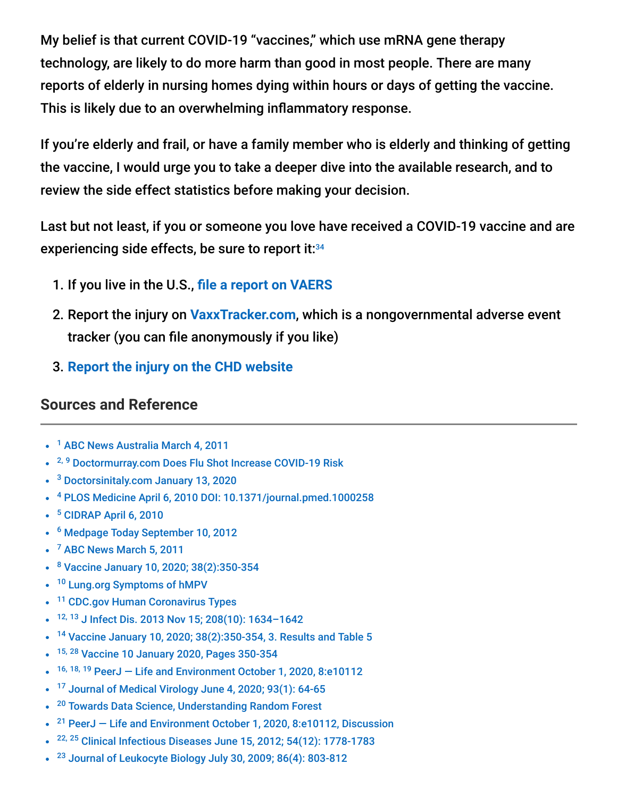My belief is that current COVID-19 "vaccines," which use mRNA gene therapy technology, are likely to do more harm than good in most people. There are many reports of elderly in nursing homes dying within hours or days of getting the vaccine. This is likely due to an overwhelming inflammatory response.

If you're elderly and frail, or have a family member who is elderly and thinking of getting the vaccine, I would urge you to take a deeper dive into the available research, and to review the side effect statistics before making your decision.

Last but not least, if you or someone you love have received a COVID-19 vaccine and are experiencing side effects, be sure to report it: 34

- 1. If you live in the U.S., fi[le a report on VAERS](https://vaers.hhs.gov/reportevent.html)
- 2. Report the injury on **[VaxxTracker.com](https://www.vaxxtracker.com/)**, which is a nongovernmental adverse event tracker (you can file anonymously if you like)
- 3. **[Report the injury on the CHD website](https://childrenshealthdefense.org/covid-19-vaccine-reactions/)**

#### **Sources and Reference**

- <sup>1</sup> [ABC News Australia March 4, 2011](https://www.abc.net.au/news/2011-03-04/vaccines-may-have-increased-swine-flu-risk/1967508)
- <sup>2, 9</sup> [Doctormurray.com Does Flu Shot Increase COVID-19 Risk](https://doctormurray.com/does-the-flu-shot-increase-covid-19-risk/)
- <sup>3</sup> [Doctorsinitaly.com January 13, 2020](https://www.doctorsinitaly.com/b/flu-shot/)
- [PLOS Medicine April 6, 2010 DOI: 10.1371/journal.pmed.1000258](https://journals.plos.org/plosmedicine/article?id=10.1371/journal.pmed.1000258) 4
- <sup>5</sup> [CIDRAP April 6, 2010](https://www.cidrap.umn.edu/news-perspective/2010/04/new-canadian-studies-suggest-seasonal-flu-shot-increased-h1n1-risk)
- <sup>6</sup> [Medpage Today September 10, 2012](https://www.medpagetoday.org/meetingcoverage/icaac/34674?vpass=1)
- <sup>7</sup> [ABC News March 5, 2011](http://www.abc.net.au/news/2011-03-04/vaccines-may-have-increased-swine-flu-risk/1967508)
- <sup>8</sup> [Vaccine January 10, 2020; 38\(2\):350-354](https://www.sciencedirect.com/science/article/pii/S0264410X19313647?via%3Dihub)
- <sup>10</sup> [Lung.org Symptoms of hMPV](https://www.lung.org/lung-health-and-diseases/lung-disease-lookup/human-metapneumovirus-hmpv/hmpv-symptoms-causes-and.html)
- <sup>11</sup> [CDC.gov Human Coronavirus Types](https://www.cdc.gov/coronavirus/types.html)
- 12, 13 J Infect Dis. 2013 Nov 15; 208(10): 1634-1642
- <sup>14</sup> [Vaccine January 10, 2020; 38\(2\):350-354, 3. Results and Table 5](https://www.sciencedirect.com/science/article/pii/S0264410X19313647?via%3Dihub)  $\bullet$
- <sup>15, 28</sup> [Vaccine 10 January 2020, Pages 350-354](https://siksik.org/wp-content/uploads/vaccins/10.1016%40j.vaccine.2019.10.005.pdf)  $\bullet$
- $16, 18, 19$  PeerJ Life and Environment October 1, 2020, 8:e10112
- $17$  [Journal of Medical Virology June 4, 2020; 93\(1\): 64-65](https://onlinelibrary.wiley.com/doi/10.1002/jmv.26120)  $\bullet$
- <sup>20</sup> [Towards Data Science, Understanding Random Forest](https://towardsdatascience.com/understanding-random-forest-58381e0602d2)
- <sup>21</sup> PeerJ Life and Environment October 1, 2020, 8:e10112, Discussion
- $22, 25$  [Clinical Infectious Diseases June 15, 2012; 54\(12\): 1778-1783](https://academic.oup.com/cid/article/54/12/1778/455098)
- $23$  [Journal of Leukocyte Biology July 30, 2009; 86\(4\): 803-812](https://jlb.onlinelibrary.wiley.com/doi/full/10.1189/jlb.0509368)